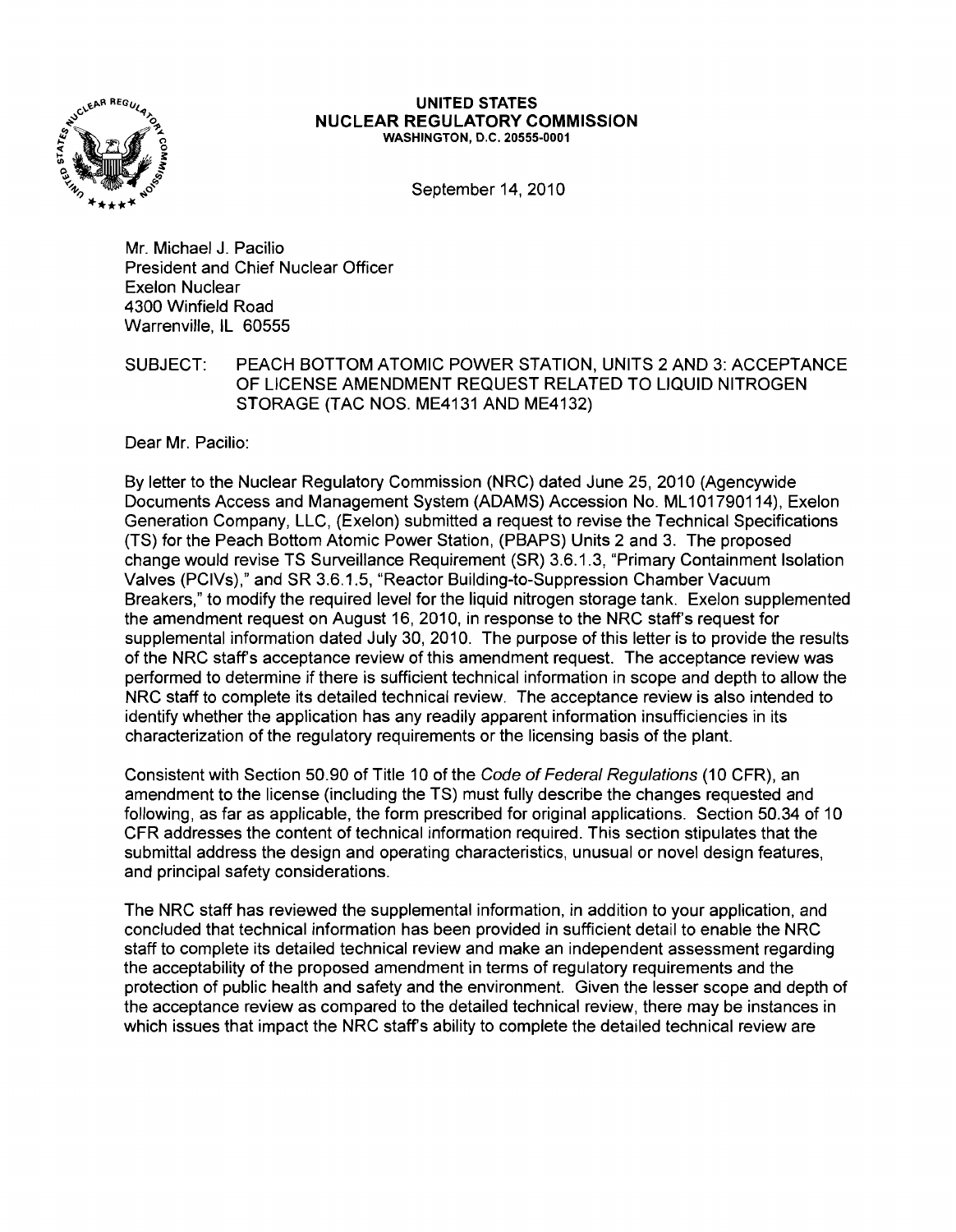

## UNITED STATES NUCLEAR REGULATORY COMMISSION WASHINGTON, D.C. 20555-0001

September 14, 2010

Mr. Michael J. Pacilio President and Chief Nuclear Officer Exelon Nuclear 4300 Winfield Road Warrenville, IL 60555

SUBJECT: PEACH BOTTOM ATOMIC POWER STATION, UNITS 2 AND 3: ACCEPTANCE OF LICENSE AMENDMENT REQUEST RELATED TO LIQUID NITROGEN STORAGE (TAC NOS. ME4131 AND ME4132)

Dear Mr. Pacilio:

By letter to the Nuclear Regulatory Commission (NRC) dated June 25, 2010 (Agencywide Documents Access and Management System (ADAMS) Accession No. ML101790114), Exelon Generation Company, LLC, (Exelon) submitted a request to revise the Technical Specifications (TS) for the Peach Bottom Atomic Power Station, (PBAPS) Units 2 and 3. The proposed change would revise TS Surveillance Requirement (SR) 3.6.1.3, "Primary Containment Isolation Valves (PCIVs)," and SR 3.6.1.5, "Reactor Building-to-Suppression Chamber Vacuum Breakers," to modify the required level for the liquid nitrogen storage tank. Exelon supplemented the amendment request on August 16, 2010, in response to the NRC staff's request for supplemental information dated July 30, 2010. The purpose of this letter is to provide the results of the NRC staff's acceptance review of this amendment request. The acceptance review was performed to determine if there is sufficient technical information in scope and depth to allow the NRC staff to complete its detailed technical review. The acceptance review is also intended to identify whether the application has any readily apparent information insufficiencies in its characterization of the regulatory requirements or the licensing basis of the plant.

Consistent with Section 50.90 of Title 10 of the Code of Federal Regulations (10 CFR), an amendment to the license (including the TS) must fully describe the changes requested and following, as far as applicable, the form prescribed for original applications. Section 50.34 of 10 CFR addresses the content of technical information required. This section stipulates that the submittal address the design and operating characteristics, unusual or novel design features, and principal safety considerations.

The NRC staff has reviewed the supplemental information, in addition to your application, and concluded that technical information has been provided in sufficient detail to enable the NRC staff to complete its detailed technical review and make an independent assessment regarding the acceptability of the proposed amendment in terms of regulatory requirements and the protection of public health and safety and the environment. Given the lesser scope and depth of the acceptance review as compared to the detailed technical review, there may be instances in which issues that impact the NRC staff's ability to complete the detailed technical review are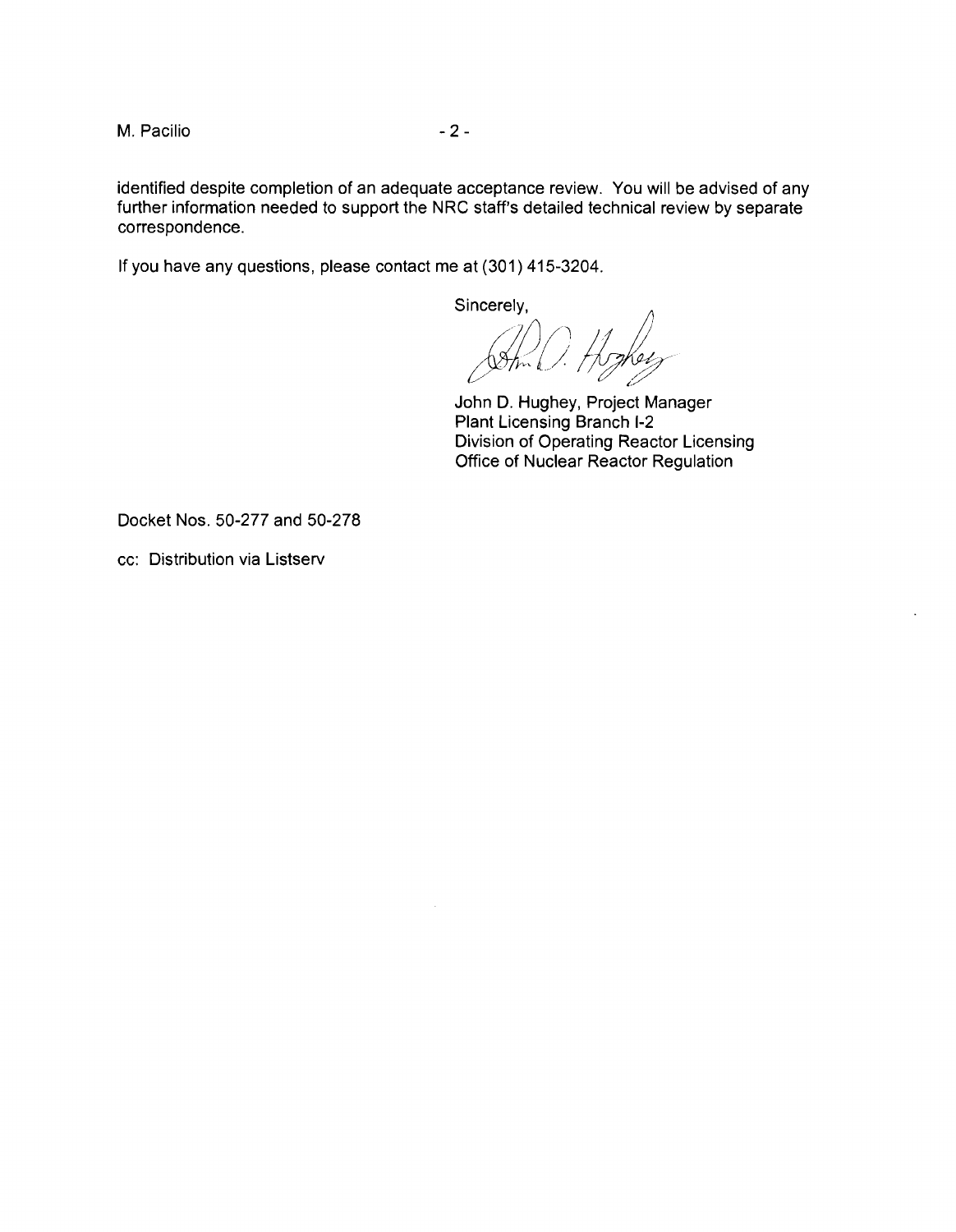M. Pacilio  $-2$  -

identified despite completion of an adequate acceptance review. You will be advised of any further information needed to support the NRC staff's detailed technical review by separate correspondence.

If you have any questions, please contact me at (301) 415-3204.

Sincerely,

(astin) Hoghers *1*

John D. Hughey, Project Manager Plant Licensing Branch 1-2 Division of Operating Reactor Licensing Office of Nuclear Reactor Regulation

Docket Nos. 50-277 and 50-278

cc: Distribution via Listserv